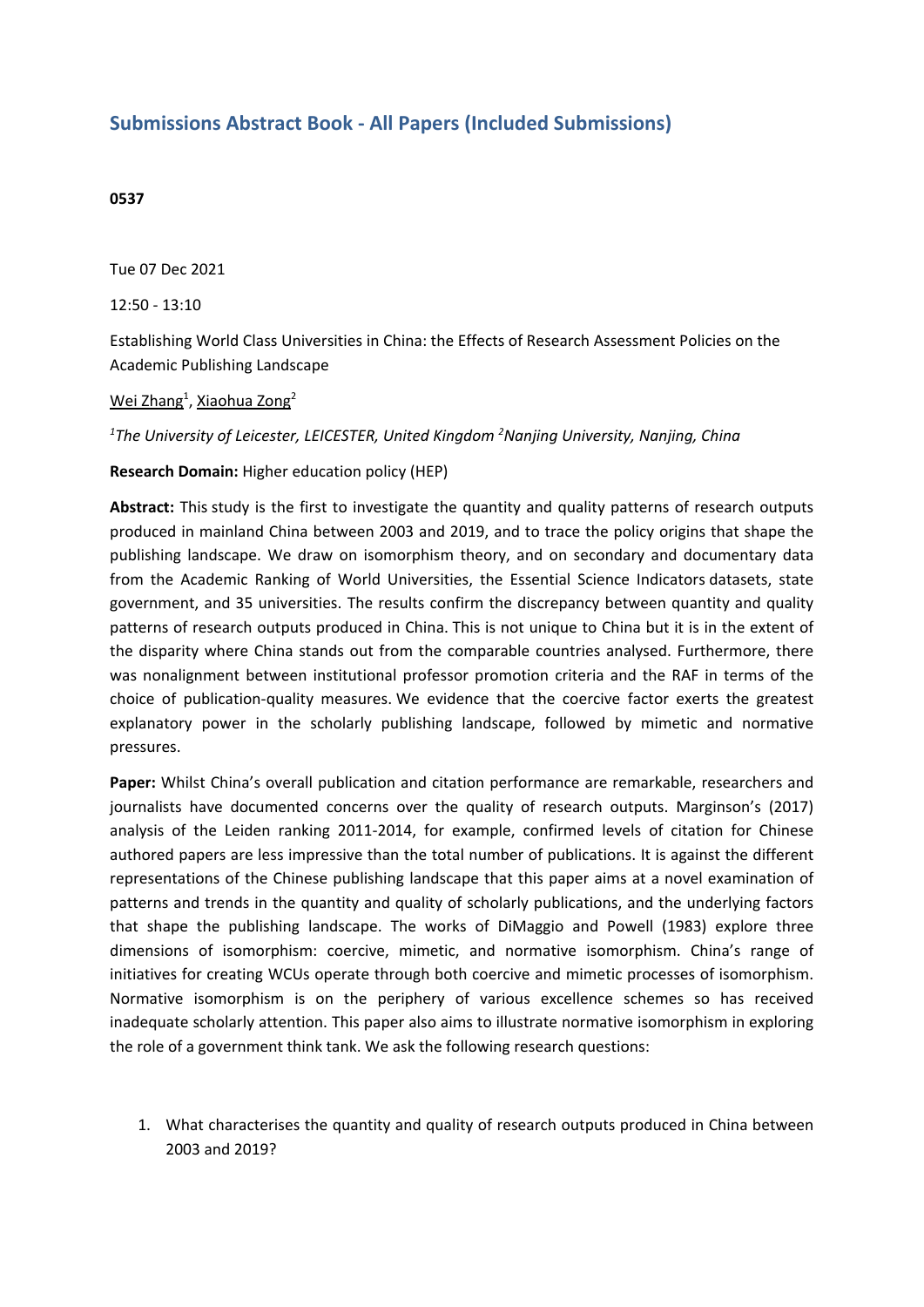## **Submissions Abstract Book - All Papers (Included Submissions)**

## **0537**

Tue 07 Dec 2021

12:50 - 13:10

Establishing World Class Universities in China: the Effects of Research Assessment Policies on the Academic Publishing Landscape

## <u>Wei Zhang<sup>1</sup>, Xiaohua Zong</u><sup>2</sup>

*1 The University of Leicester, LEICESTER, United Kingdom <sup>2</sup> Nanjing University, Nanjing, China*

## **Research Domain:** Higher education policy (HEP)

**Abstract:** This study is the first to investigate the quantity and quality patterns of research outputs produced in mainland China between 2003 and 2019, and to trace the policy origins that shape the publishing landscape. We draw on isomorphism theory, and on secondary and documentary data from the Academic Ranking of World Universities, the Essential Science Indicators datasets, state government, and 35 universities. The results confirm the discrepancy between quantity and quality patterns of research outputs produced in China. This is not unique to China but it is in the extent of the disparity where China stands out from the comparable countries analysed. Furthermore, there was nonalignment between institutional professor promotion criteria and the RAF in terms of the choice of publication-quality measures. We evidence that the coercive factor exerts the greatest explanatory power in the scholarly publishing landscape, followed by mimetic and normative pressures.

**Paper:** Whilst China's overall publication and citation performance are remarkable, researchers and journalists have documented concerns over the quality of research outputs. Marginson's (2017) analysis of the Leiden ranking 2011-2014, for example, confirmed levels of citation for Chinese authored papers are less impressive than the total number of publications. It is against the different representations of the Chinese publishing landscape that this paper aims at <sup>a</sup> novel examination of patterns and trends in the quantity and quality of scholarly publications, and the underlying factors that shape the publishing landscape. The works of DiMaggio and Powell (1983) explore three dimensions of isomorphism: coercive, mimetic, and normative isomorphism. China's range of initiatives for creating WCUs operate through both coercive and mimetic processes of isomorphism. Normative isomorphism is on the periphery of various excellence schemes so has received inadequate scholarly attention. This paper also aims to illustrate normative isomorphism in exploring the role of <sup>a</sup> government think tank. We ask the following research questions:

1. What characterises the quantity and quality of research outputs produced in China between 2003 and 2019?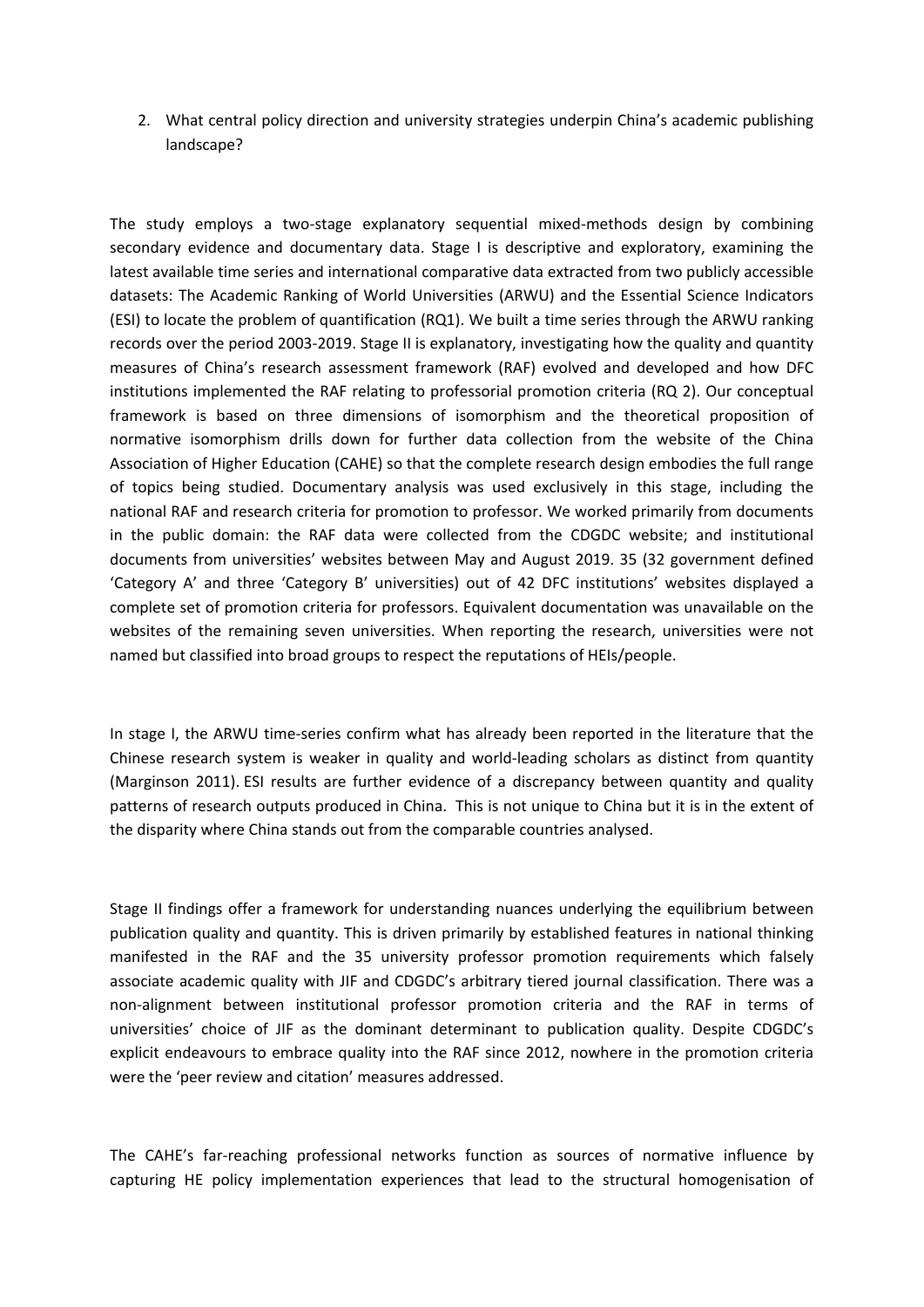2. What central policy direction and university strategies underpin China's academic publishing landscape?

The study employs <sup>a</sup> two-stage explanatory sequential mixed-methods design by combining secondary evidence and documentary data. Stage I is descriptive and exploratory, examining the latest available time series and international comparative data extracted from two publicly accessible datasets: The Academic Ranking of World Universities (ARWU) and the Essential Science Indicators (ESI) to locate the problem of quantification (RQ1). We built <sup>a</sup> time series through the ARWU ranking records over the period 2003-2019. Stage II is explanatory, investigating how the quality and quantity measures of China's research assessment framework (RAF) evolved and developed and how DFC institutions implemented the RAF relating to professorial promotion criteria (RQ 2). Our conceptual framework is based on three dimensions of isomorphism and the theoretical proposition of normative isomorphism drills down for further data collection from the website of the China Association of Higher Education (CAHE) so that the complete research design embodies the full range of topics being studied. Documentary analysis was used exclusively in this stage, including the national RAF and research criteria for promotion to professor. We worked primarily from documents in the public domain: the RAF data were collected from the CDGDC website; and institutional documents from universities' websites between May and August 2019. 35 (32 government defined 'Category A' and three 'Category B' universities) out of 42 DFC institutions' websites displayed <sup>a</sup> complete set of promotion criteria for professors. Equivalent documentation was unavailable on the websites of the remaining seven universities. When reporting the research, universities were not named but classified into broad groups to respect the reputations of HEIs/people.

In stage I, the ARWU time-series confirm what has already been reported in the literature that the Chinese research system is weaker in quality and world-leading scholars as distinct from quantity (Marginson 2011). ESI results are further evidence of <sup>a</sup> discrepancy between quantity and quality patterns of research outputs produced in China. This is not unique to China but it is in the extent of the disparity where China stands out from the comparable countries analysed.

Stage II findings offer <sup>a</sup> framework for understanding nuances underlying the equilibrium between publication quality and quantity. This is driven primarily by established features in national thinking manifested in the RAF and the 35 university professor promotion requirements which falsely associate academic quality with JIF and CDGDC's arbitrary tiered journal classification. There was <sup>a</sup> non-alignment between institutional professor promotion criteria and the RAF in terms of universities' choice of JIF as the dominant determinant to publication quality. Despite CDGDC's explicit endeavours to embrace quality into the RAF since 2012, nowhere in the promotion criteria were the 'peer review and citation' measures addressed.

The CAHE's far-reaching professional networks function as sources of normative influence by capturing HE policy implementation experiences that lead to the structural homogenisation of